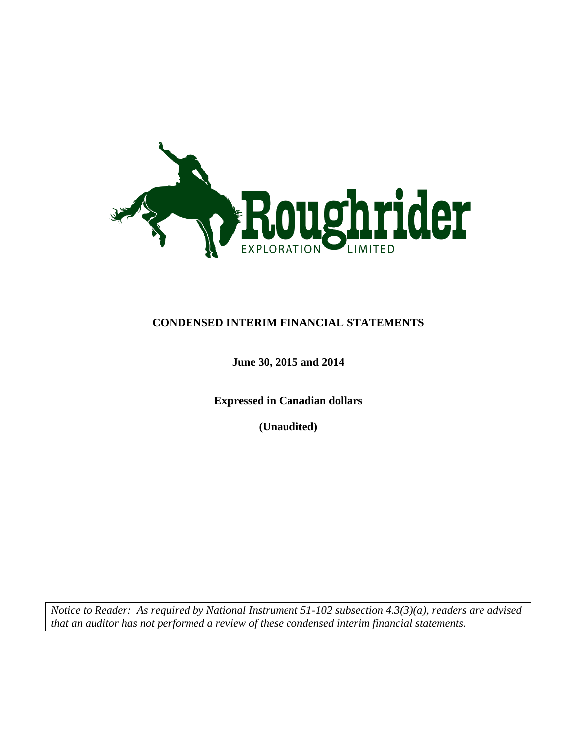

### **CONDENSED INTERIM FINANCIAL STATEMENTS**

### **June 30, 2015 and 2014**

**Expressed in Canadian dollars**

**(Unaudited)**

*Notice to Reader: As required by National Instrument 51-102 subsection 4.3(3)(a), readers are advised that an auditor has not performed a review of these condensed interim financial statements.*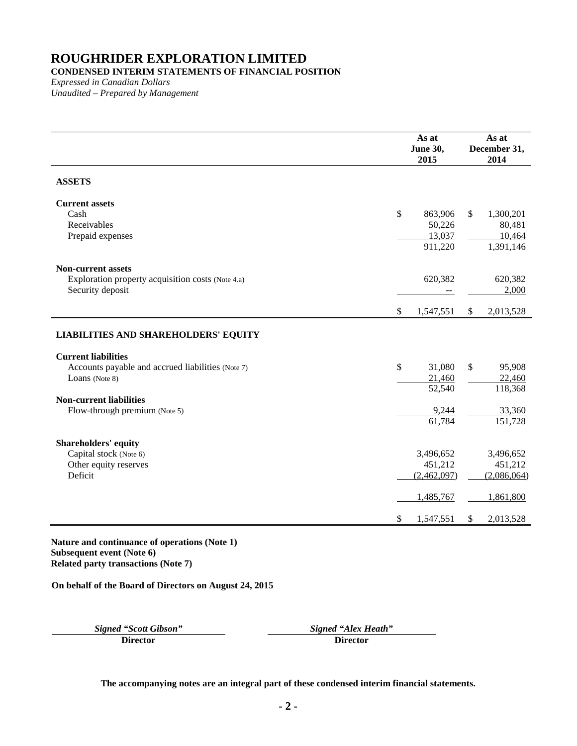### **CONDENSED INTERIM STATEMENTS OF FINANCIAL POSITION**

*Expressed in Canadian Dollars Unaudited – Prepared by Management*

|                                                   | As at<br><b>June 30,</b><br>2015 |              | As at<br>December 31,<br>2014 |
|---------------------------------------------------|----------------------------------|--------------|-------------------------------|
| <b>ASSETS</b>                                     |                                  |              |                               |
| <b>Current assets</b>                             |                                  |              |                               |
| Cash<br>Receivables                               | \$<br>863,906<br>50,226          | \$           | 1,300,201<br>80,481           |
| Prepaid expenses                                  | 13,037                           |              | 10,464                        |
|                                                   | 911,220                          |              | 1,391,146                     |
| <b>Non-current assets</b>                         |                                  |              |                               |
| Exploration property acquisition costs (Note 4.a) | 620,382                          |              | 620,382                       |
| Security deposit                                  |                                  |              | 2,000                         |
|                                                   | \$<br>1,547,551                  | $\mathbb{S}$ | 2,013,528                     |
| <b>LIABILITIES AND SHAREHOLDERS' EQUITY</b>       |                                  |              |                               |
| <b>Current liabilities</b>                        |                                  |              |                               |
| Accounts payable and accrued liabilities (Note 7) | \$<br>31,080                     | \$           | 95,908                        |
| Loans (Note 8)                                    | 21,460<br>52,540                 |              | 22,460<br>118,368             |
| <b>Non-current liabilities</b>                    |                                  |              |                               |
| Flow-through premium (Note 5)                     | 9,244                            |              | 33,360                        |
|                                                   | 61,784                           |              | 151,728                       |
| <b>Shareholders' equity</b>                       |                                  |              |                               |
| Capital stock (Note 6)                            | 3,496,652                        |              | 3,496,652                     |
| Other equity reserves                             | 451,212                          |              | 451,212                       |
| Deficit                                           | (2,462,097)                      |              | (2,086,064)                   |
|                                                   | 1,485,767                        |              | 1,861,800                     |
|                                                   | \$<br>1,547,551                  | S.           | 2,013,528                     |

**Nature and continuance of operations (Note 1) Subsequent event (Note 6) Related party transactions (Note [7\)](#page-11-0)**

**On behalf of the Board of Directors on August 24, 2015**

*Signed "Scott Gibson" Signed "Alex Heath"*

**Director Director**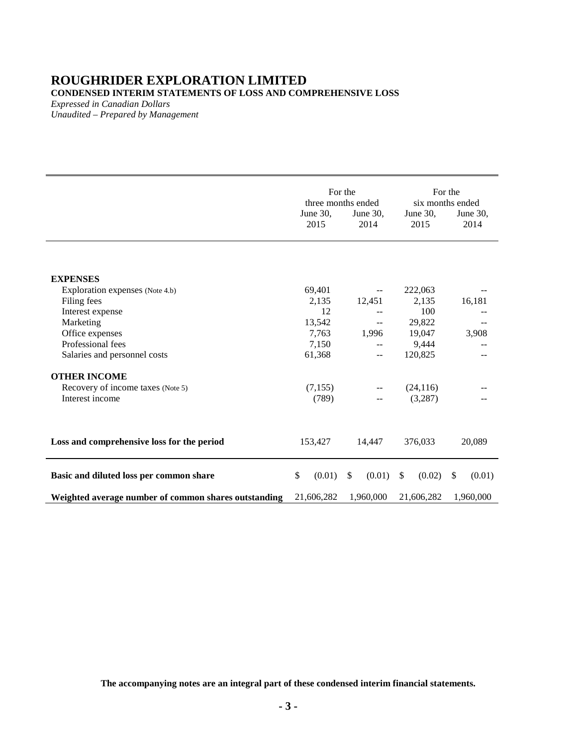### **ROUGHRIDER EXPLORATION LIMITED CONDENSED INTERIM STATEMENTS OF LOSS AND COMPREHENSIVE LOSS**

*Expressed in Canadian Dollars Unaudited – Prepared by Management*

|                                                      | For the<br>three months ended |                          |                     | For the<br>six months ended |
|------------------------------------------------------|-------------------------------|--------------------------|---------------------|-----------------------------|
|                                                      | June $30$ ,<br>2015           | June $30$ ,<br>2014      | June $30$ ,<br>2015 | June 30,<br>2014            |
| <b>EXPENSES</b>                                      |                               |                          |                     |                             |
| Exploration expenses (Note 4.b)                      | 69,401                        | $\overline{\phantom{a}}$ | 222,063             |                             |
| Filing fees                                          | 2,135                         | 12,451                   | 2,135               | 16,181                      |
| Interest expense                                     | 12                            |                          | 100                 |                             |
| Marketing                                            | 13,542                        | $\qquad \qquad -$        | 29,822              |                             |
| Office expenses                                      | 7,763                         | 1,996                    | 19,047              | 3,908                       |
| Professional fees                                    | 7,150                         | $-$                      | 9,444               |                             |
| Salaries and personnel costs                         | 61,368                        | $- -$                    | 120,825             |                             |
| <b>OTHER INCOME</b>                                  |                               |                          |                     |                             |
| Recovery of income taxes (Note 5)                    | (7,155)                       | $\overline{\phantom{m}}$ | (24, 116)           |                             |
| Interest income                                      | (789)                         |                          | (3,287)             |                             |
| Loss and comprehensive loss for the period           | 153,427                       | 14,447                   | 376,033             | 20,089                      |
| Basic and diluted loss per common share              | \$<br>(0.01)                  | $\mathbb{S}$<br>(0.01)   | \$<br>(0.02)        | \$<br>(0.01)                |
| Weighted average number of common shares outstanding | 21,606,282                    | 1,960,000                | 21,606,282          | 1,960,000                   |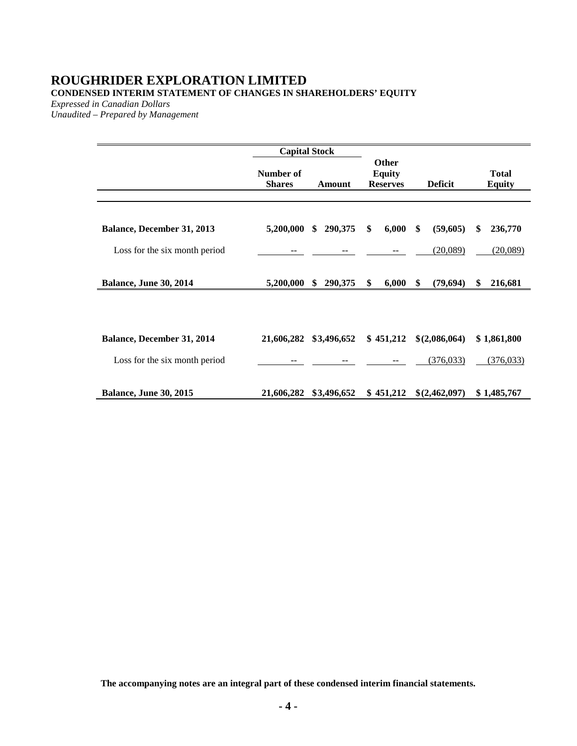### **ROUGHRIDER EXPLORATION LIMITED CONDENSED INTERIM STATEMENT OF CHANGES IN SHAREHOLDERS' EQUITY**

*Expressed in Canadian Dollars*

*Unaudited – Prepared by Management*

|                                                             |                            | <b>Capital Stock</b> |                                           |                             |                           |
|-------------------------------------------------------------|----------------------------|----------------------|-------------------------------------------|-----------------------------|---------------------------|
|                                                             | Number of<br><b>Shares</b> | Amount               | Other<br><b>Equity</b><br><b>Reserves</b> | <b>Deficit</b>              | Total<br><b>Equity</b>    |
| Balance, December 31, 2013                                  | 5,200,000                  | 290,375<br>\$        | 6,000<br>\$                               | \$<br>(59,605)              | \$<br>236,770             |
| Loss for the six month period                               |                            |                      |                                           | (20,089)                    | (20,089)                  |
| <b>Balance, June 30, 2014</b>                               | 5,200,000                  | 290,375<br>\$        | 6,000<br>\$                               | \$<br>(79, 694)             | 216,681<br>\$             |
| Balance, December 31, 2014<br>Loss for the six month period | 21,606,282                 | \$3,496,652          | \$451,212                                 | \$(2,086,064)<br>(376, 033) | \$1,861,800<br>(376, 033) |
| <b>Balance, June 30, 2015</b>                               | 21,606,282                 | \$3,496,652          | \$451,212                                 | \$(2,462,097)               | \$1,485,767               |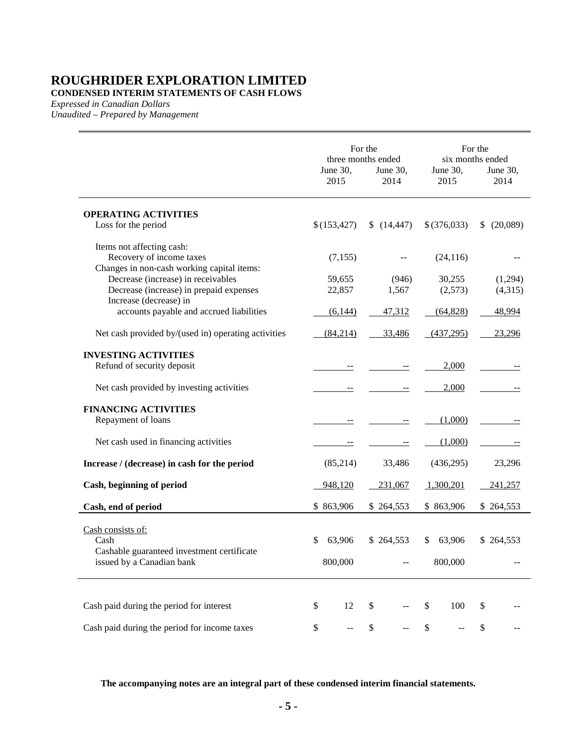**CONDENSED INTERIM STATEMENTS OF CASH FLOWS**

*Expressed in Canadian Dollars*

*Unaudited – Prepared by Management*

|                                                     |                  | For the<br>three months ended |    | For the<br>six months ended |                  |    |                  |
|-----------------------------------------------------|------------------|-------------------------------|----|-----------------------------|------------------|----|------------------|
|                                                     | June 30,<br>2015 |                               |    | June 30,<br>2014            | June 30,<br>2015 |    | June 30,<br>2014 |
| <b>OPERATING ACTIVITIES</b>                         |                  |                               |    |                             |                  |    |                  |
| Loss for the period                                 | \$(153, 427)     |                               |    | (14, 447)                   | $$$ $(376,033)$  | \$ | (20,089)         |
| Items not affecting cash:                           |                  |                               |    |                             |                  |    |                  |
| Recovery of income taxes                            |                  | (7, 155)                      |    |                             | (24, 116)        |    |                  |
| Changes in non-cash working capital items:          |                  |                               |    |                             |                  |    |                  |
| Decrease (increase) in receivables                  |                  | 59,655                        |    | (946)                       | 30,255           |    | (1,294)          |
| Decrease (increase) in prepaid expenses             |                  | 22,857                        |    | 1,567                       | (2,573)          |    | (4,315)          |
| Increase (decrease) in                              |                  |                               |    |                             |                  |    |                  |
| accounts payable and accrued liabilities            |                  | (6,144)                       |    | 47,312                      | (64, 828)        |    | 48,994           |
| Net cash provided by/(used in) operating activities |                  | (84,214)                      |    | 33,486                      | (437, 295)       |    | 23,296           |
| <b>INVESTING ACTIVITIES</b>                         |                  |                               |    |                             |                  |    |                  |
| Refund of security deposit                          |                  |                               |    | $-$                         | 2,000            |    |                  |
| Net cash provided by investing activities           |                  |                               |    |                             | 2,000            |    |                  |
| <b>FINANCING ACTIVITIES</b>                         |                  |                               |    |                             |                  |    |                  |
| Repayment of loans                                  |                  |                               |    |                             | (1,000)          |    |                  |
| Net cash used in financing activities               |                  |                               |    | $\equiv$                    | (1,000)          |    |                  |
| Increase / (decrease) in cash for the period        |                  | (85,214)                      |    | 33,486                      | (436,295)        |    | 23,296           |
| Cash, beginning of period                           | 948,120          |                               |    | 231,067                     | 1,300,201        |    | 241,257          |
| Cash, end of period                                 | \$863,906        |                               |    | \$264,553                   | \$863,906        |    | \$264,553        |
|                                                     |                  |                               |    |                             |                  |    |                  |
| Cash consists of:<br>Cash                           | \$               | 63,906                        |    | \$264,553                   | \$<br>63,906     |    | \$264,553        |
| Cashable guaranteed investment certificate          |                  |                               |    |                             |                  |    |                  |
| issued by a Canadian bank                           |                  | 800,000                       |    |                             | 800,000          |    |                  |
|                                                     |                  |                               |    |                             |                  |    |                  |
| Cash paid during the period for interest            | \$               | 12                            | \$ |                             | \$<br>100        | \$ |                  |
| Cash paid during the period for income taxes        | \$               |                               | \$ |                             | \$               | \$ |                  |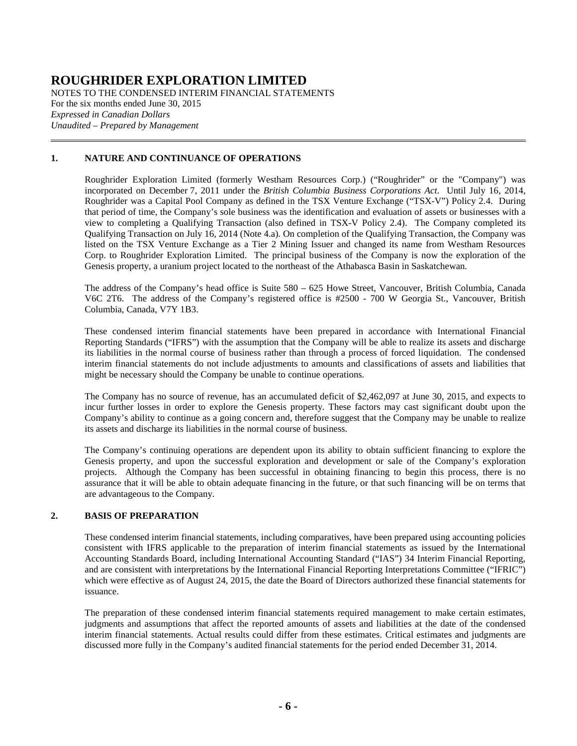NOTES TO THE CONDENSED INTERIM FINANCIAL STATEMENTS For the six months ended June 30, 2015 *Expressed in Canadian Dollars Unaudited – Prepared by Management*

#### **1. NATURE AND CONTINUANCE OF OPERATIONS**

Roughrider Exploration Limited (formerly Westham Resources Corp.) ("Roughrider" or the "Company") was incorporated on December 7, 2011 under the *British Columbia Business Corporations Act*. Until July 16, 2014, Roughrider was a Capital Pool Company as defined in the TSX Venture Exchange ("TSX-V") Policy 2.4. During that period of time, the Company's sole business was the identification and evaluation of assets or businesses with a view to completing a Qualifying Transaction (also defined in TSX-V Policy 2.4). The Company completed its Qualifying Transaction on July 16, 2014 (Note [4.a\)](#page-7-0). On completion of the Qualifying Transaction, the Company was listed on the TSX Venture Exchange as a Tier 2 Mining Issuer and changed its name from Westham Resources Corp. to Roughrider Exploration Limited. The principal business of the Company is now the exploration of the Genesis property, a uranium project located to the northeast of the Athabasca Basin in Saskatchewan.

The address of the Company's head office is Suite 580 – 625 Howe Street, Vancouver, British Columbia, Canada V6C 2T6. The address of the Company's registered office is #2500 - 700 W Georgia St., Vancouver, British Columbia, Canada, V7Y 1B3.

These condensed interim financial statements have been prepared in accordance with International Financial Reporting Standards ("IFRS") with the assumption that the Company will be able to realize its assets and discharge its liabilities in the normal course of business rather than through a process of forced liquidation. The condensed interim financial statements do not include adjustments to amounts and classifications of assets and liabilities that might be necessary should the Company be unable to continue operations.

The Company has no source of revenue, has an accumulated deficit of \$2,462,097 at June 30, 2015, and expects to incur further losses in order to explore the Genesis property. These factors may cast significant doubt upon the Company's ability to continue as a going concern and, therefore suggest that the Company may be unable to realize its assets and discharge its liabilities in the normal course of business.

The Company's continuing operations are dependent upon its ability to obtain sufficient financing to explore the Genesis property, and upon the successful exploration and development or sale of the Company's exploration projects. Although the Company has been successful in obtaining financing to begin this process, there is no assurance that it will be able to obtain adequate financing in the future, or that such financing will be on terms that are advantageous to the Company.

#### **2. BASIS OF PREPARATION**

These condensed interim financial statements, including comparatives, have been prepared using accounting policies consistent with IFRS applicable to the preparation of interim financial statements as issued by the International Accounting Standards Board, including International Accounting Standard ("IAS") 34 Interim Financial Reporting, and are consistent with interpretations by the International Financial Reporting Interpretations Committee ("IFRIC") which were effective as of August 24, 2015, the date the Board of Directors authorized these financial statements for issuance.

The preparation of these condensed interim financial statements required management to make certain estimates, judgments and assumptions that affect the reported amounts of assets and liabilities at the date of the condensed interim financial statements. Actual results could differ from these estimates. Critical estimates and judgments are discussed more fully in the Company's audited financial statements for the period ended December 31, 2014.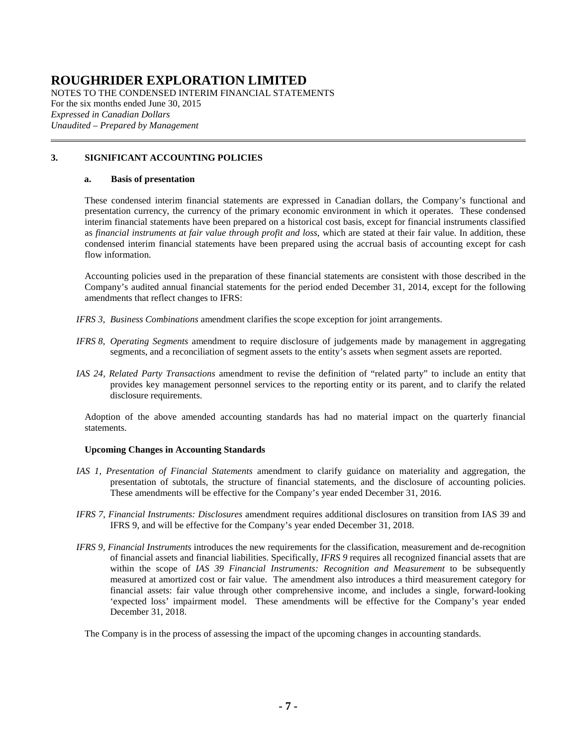NOTES TO THE CONDENSED INTERIM FINANCIAL STATEMENTS For the six months ended June 30, 2015 *Expressed in Canadian Dollars Unaudited – Prepared by Management*

#### **3. SIGNIFICANT ACCOUNTING POLICIES**

#### **a. Basis of presentation**

These condensed interim financial statements are expressed in Canadian dollars, the Company's functional and presentation currency, the currency of the primary economic environment in which it operates. These condensed interim financial statements have been prepared on a historical cost basis, except for financial instruments classified as *financial instruments at fair value through profit and loss*, which are stated at their fair value. In addition, these condensed interim financial statements have been prepared using the accrual basis of accounting except for cash flow information.

Accounting policies used in the preparation of these financial statements are consistent with those described in the Company's audited annual financial statements for the period ended December 31, 2014, except for the following amendments that reflect changes to IFRS:

- *IFRS 3, Business Combinations* amendment clarifies the scope exception for joint arrangements.
- *IFRS 8, Operating Segments* amendment to require disclosure of judgements made by management in aggregating segments, and a reconciliation of segment assets to the entity's assets when segment assets are reported.
- *IAS 24, Related Party Transactions* amendment to revise the definition of "related party" to include an entity that provides key management personnel services to the reporting entity or its parent, and to clarify the related disclosure requirements.

Adoption of the above amended accounting standards has had no material impact on the quarterly financial statements.

#### **Upcoming Changes in Accounting Standards**

- *IAS 1, Presentation of Financial Statements* amendment to clarify guidance on materiality and aggregation, the presentation of subtotals, the structure of financial statements, and the disclosure of accounting policies. These amendments will be effective for the Company's year ended December 31, 2016.
- *IFRS 7, Financial Instruments: Disclosures* amendment requires additional disclosures on transition from IAS 39 and IFRS 9, and will be effective for the Company's year ended December 31, 2018.
- *IFRS 9, Financial Instruments* introduces the new requirements for the classification, measurement and de-recognition of financial assets and financial liabilities. Specifically, *IFRS 9* requires all recognized financial assets that are within the scope of *IAS 39 Financial Instruments: Recognition and Measurement* to be subsequently measured at amortized cost or fair value. The amendment also introduces a third measurement category for financial assets: fair value through other comprehensive income, and includes a single, forward-looking 'expected loss' impairment model. These amendments will be effective for the Company's year ended December 31, 2018.

The Company is in the process of assessing the impact of the upcoming changes in accounting standards.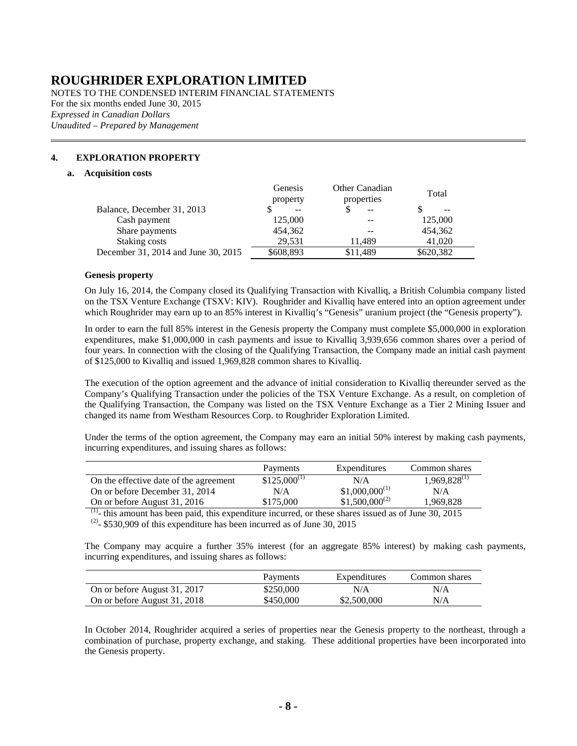NOTES TO THE CONDENSED INTERIM FINANCIAL STATEMENTS For the six months ended June 30, 2015 *Expressed in Canadian Dollars Unaudited – Prepared by Management*

#### <span id="page-7-1"></span><span id="page-7-0"></span>**4. EXPLORATION PROPERTY**

#### **a. Acquisition costs**

|                                     | Genesis<br>property | Other Canadian<br>properties | Total     |
|-------------------------------------|---------------------|------------------------------|-----------|
| Balance, December 31, 2013          | $- -$               | $- -$                        | $- -$     |
| Cash payment                        | 125,000             |                              | 125,000   |
| Share payments                      | 454,362             |                              | 454,362   |
| Staking costs                       | 29.531              | 11.489                       | 41,020    |
| December 31, 2014 and June 30, 2015 | \$608,893           | \$11,489                     | \$620,382 |

#### **Genesis property**

On July 16, 2014, the Company closed its Qualifying Transaction with Kivalliq, a British Columbia company listed on the TSX Venture Exchange (TSXV: KIV). Roughrider and Kivalliq have entered into an option agreement under which Roughrider may earn up to an 85% interest in Kivalliq's "Genesis" uranium project (the "Genesis property").

In order to earn the full 85% interest in the Genesis property the Company must complete \$5,000,000 in exploration expenditures, make \$1,000,000 in cash payments and issue to Kivalliq 3,939,656 common shares over a period of four years. In connection with the closing of the Qualifying Transaction, the Company made an initial cash payment of \$125,000 to Kivalliq and issued 1,969,828 common shares to Kivalliq.

The execution of the option agreement and the advance of initial consideration to Kivalliq thereunder served as the Company's Qualifying Transaction under the policies of the TSX Venture Exchange. As a result, on completion of the Qualifying Transaction, the Company was listed on the TSX Venture Exchange as a Tier 2 Mining Issuer and changed its name from Westham Resources Corp. to Roughrider Exploration Limited.

Under the terms of the option agreement, the Company may earn an initial 50% interest by making cash payments, incurring expenditures, and issuing shares as follows:

|                                        | Payments         | Expenditures       | Common shares     |
|----------------------------------------|------------------|--------------------|-------------------|
| On the effective date of the agreement | $$125,000^{(1)}$ | N/A                | $1,969,828^{(1)}$ |
| On or before December 31, 2014         | N/A              | $$1,000,000^{(1)}$ | N/A               |
| On or before August 31, 2016           | \$175,000        | $$1,500,000^{(2)}$ | 1.969.828         |

 $<sup>(1)</sup>$ - this amount has been paid, this expenditure incurred, or these shares issued as of June 30, 2015</sup>

 $^{(2)}$ - \$530,909 of this expenditure has been incurred as of June 30, 2015

The Company may acquire a further 35% interest (for an aggregate 85% interest) by making cash payments, incurring expenditures, and issuing shares as follows:

|                              | Payments  | Expenditures | Common shares |
|------------------------------|-----------|--------------|---------------|
| On or before August 31, 2017 | \$250,000 | N/A          | N/A           |
| On or before August 31, 2018 | \$450,000 | \$2,500,000  | N/A           |

In October 2014, Roughrider acquired a series of properties near the Genesis property to the northeast, through a combination of purchase, property exchange, and staking. These additional properties have been incorporated into the Genesis property.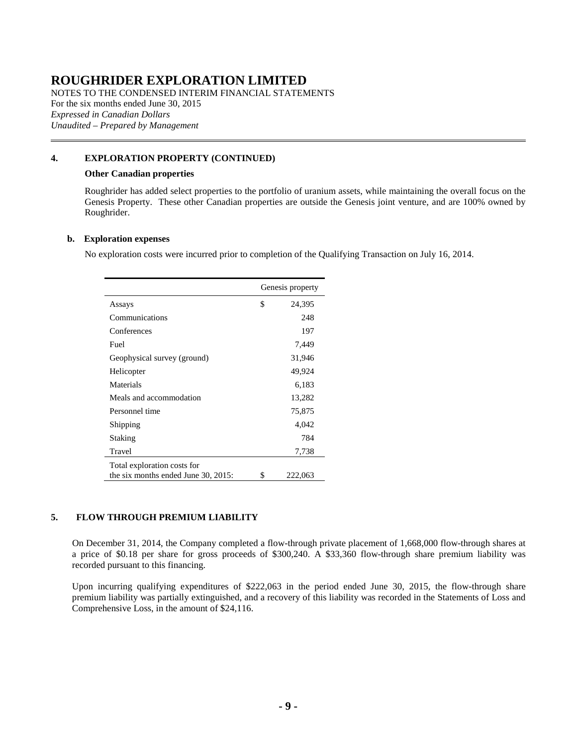NOTES TO THE CONDENSED INTERIM FINANCIAL STATEMENTS For the six months ended June 30, 2015 *Expressed in Canadian Dollars Unaudited – Prepared by Management*

#### **[4.](#page-7-1) EXPLORATION PROPERTY (CONTINUED)**

#### **Other Canadian properties**

Roughrider has added select properties to the portfolio of uranium assets, while maintaining the overall focus on the Genesis Property. These other Canadian properties are outside the Genesis joint venture, and are 100% owned by Roughrider.

#### <span id="page-8-1"></span>**b. Exploration expenses**

No exploration costs were incurred prior to completion of the Qualifying Transaction on July 16, 2014.

|                                     | Genesis property |         |
|-------------------------------------|------------------|---------|
| Assays                              | \$               | 24,395  |
| Communications                      |                  | 248     |
| Conferences                         |                  | 197     |
| Fuel                                |                  | 7,449   |
| Geophysical survey (ground)         |                  | 31,946  |
| Helicopter                          |                  | 49,924  |
| Materials                           |                  | 6,183   |
| Meals and accommodation             |                  | 13,282  |
| Personnel time                      |                  | 75,875  |
| Shipping                            |                  | 4,042   |
| Staking                             |                  | 784     |
| Travel                              |                  | 7,738   |
| Total exploration costs for         |                  |         |
| the six months ended June 30, 2015: | \$               | 222,063 |

#### <span id="page-8-0"></span>**5. FLOW THROUGH PREMIUM LIABILITY**

On December 31, 2014, the Company completed a flow-through private placement of 1,668,000 flow-through shares at a price of \$0.18 per share for gross proceeds of \$300,240. A \$33,360 flow-through share premium liability was recorded pursuant to this financing.

Upon incurring qualifying expenditures of \$222,063 in the period ended June 30, 2015, the flow-through share premium liability was partially extinguished, and a recovery of this liability was recorded in the Statements of Loss and Comprehensive Loss, in the amount of \$24,116.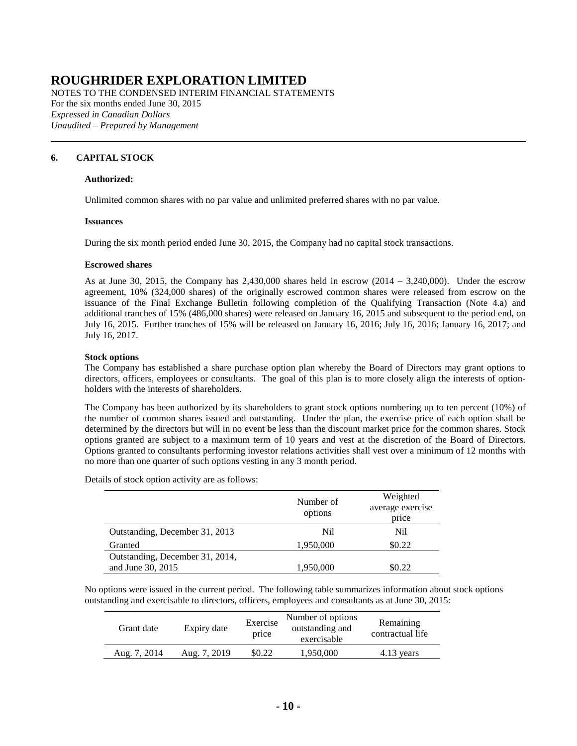NOTES TO THE CONDENSED INTERIM FINANCIAL STATEMENTS For the six months ended June 30, 2015 *Expressed in Canadian Dollars Unaudited – Prepared by Management*

#### <span id="page-9-0"></span>**6. CAPITAL STOCK**

#### **Authorized:**

Unlimited common shares with no par value and unlimited preferred shares with no par value.

#### **Issuances**

During the six month period ended June 30, 2015, the Company had no capital stock transactions.

#### **Escrowed shares**

As at June 30, 2015, the Company has  $2,430,000$  shares held in escrow  $(2014 - 3,240,000)$ . Under the escrow agreement, 10% (324,000 shares) of the originally escrowed common shares were released from escrow on the issuance of the Final Exchange Bulletin following completion of the Qualifying Transaction (Note [4.a\)](#page-7-0) and additional tranches of 15% (486,000 shares) were released on January 16, 2015 and subsequent to the period end, on July 16, 2015. Further tranches of 15% will be released on January 16, 2016; July 16, 2016; January 16, 2017; and July 16, 2017.

#### **Stock options**

The Company has established a share purchase option plan whereby the Board of Directors may grant options to directors, officers, employees or consultants. The goal of this plan is to more closely align the interests of optionholders with the interests of shareholders.

The Company has been authorized by its shareholders to grant stock options numbering up to ten percent (10%) of the number of common shares issued and outstanding. Under the plan, the exercise price of each option shall be determined by the directors but will in no event be less than the discount market price for the common shares. Stock options granted are subject to a maximum term of 10 years and vest at the discretion of the Board of Directors. Options granted to consultants performing investor relations activities shall vest over a minimum of 12 months with no more than one quarter of such options vesting in any 3 month period.

Details of stock option activity are as follows:

|                                 | Number of | Weighted         |
|---------------------------------|-----------|------------------|
|                                 | options   | average exercise |
|                                 |           | price            |
| Outstanding, December 31, 2013  | Nil       | Nil              |
| Granted                         | 1,950,000 | \$0.22           |
| Outstanding, December 31, 2014, |           |                  |
| and June 30, 2015               | 1,950,000 | \$0.22           |

No options were issued in the current period. The following table summarizes information about stock options outstanding and exercisable to directors, officers, employees and consultants as at June 30, 2015:

| Grant date   | Expiry date  | Exercise<br>price | Number of options<br>outstanding and<br>exercisable | Remaining<br>contractual life |
|--------------|--------------|-------------------|-----------------------------------------------------|-------------------------------|
| Aug. 7, 2014 | Aug. 7, 2019 | \$0.22            | 1,950,000                                           | 4.13 years                    |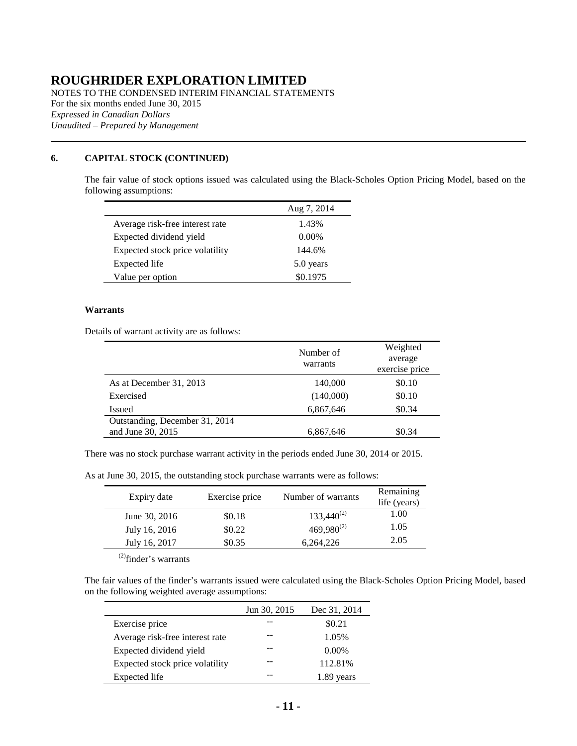NOTES TO THE CONDENSED INTERIM FINANCIAL STATEMENTS For the six months ended June 30, 2015 *Expressed in Canadian Dollars Unaudited – Prepared by Management*

### **[6.](#page-9-0) CAPITAL STOCK (CONTINUED)**

The fair value of stock options issued was calculated using the Black-Scholes Option Pricing Model, based on the following assumptions:

|                                 | Aug 7, 2014 |
|---------------------------------|-------------|
| Average risk-free interest rate | 1.43%       |
| Expected dividend yield         | $0.00\%$    |
| Expected stock price volatility | 144.6%      |
| Expected life                   | 5.0 years   |
| Value per option                | \$0.1975    |

#### **Warrants**

Details of warrant activity are as follows:

|                                                     | Number of<br>warrants | Weighted<br>average<br>exercise price |
|-----------------------------------------------------|-----------------------|---------------------------------------|
| As at December 31, 2013                             | 140,000               | \$0.10                                |
| Exercised                                           | (140,000)             | \$0.10                                |
| Issued                                              | 6,867,646             | \$0.34                                |
| Outstanding, December 31, 2014<br>and June 30, 2015 | 6,867,646             | \$0.34                                |

There was no stock purchase warrant activity in the periods ended June 30, 2014 or 2015.

As at June 30, 2015, the outstanding stock purchase warrants were as follows:

| Expiry date   | Exercise price | Number of warrants | Remaining<br>life (years) |
|---------------|----------------|--------------------|---------------------------|
| June 30, 2016 | \$0.18         | $133,440^{(2)}$    | 1.00                      |
| July 16, 2016 | \$0.22         | $469,980^{(2)}$    | 1.05                      |
| July 16, 2017 | \$0.35         | 6.264.226          | 2.05                      |

(2)finder's warrants

The fair values of the finder's warrants issued were calculated using the Black-Scholes Option Pricing Model, based on the following weighted average assumptions:

|                                 | Jun 30, 2015 | Dec 31, 2014 |
|---------------------------------|--------------|--------------|
| Exercise price                  |              | \$0.21       |
| Average risk-free interest rate |              | 1.05%        |
| Expected dividend yield         |              | $0.00\%$     |
| Expected stock price volatility |              | 112.81%      |
| Expected life                   |              | vears        |